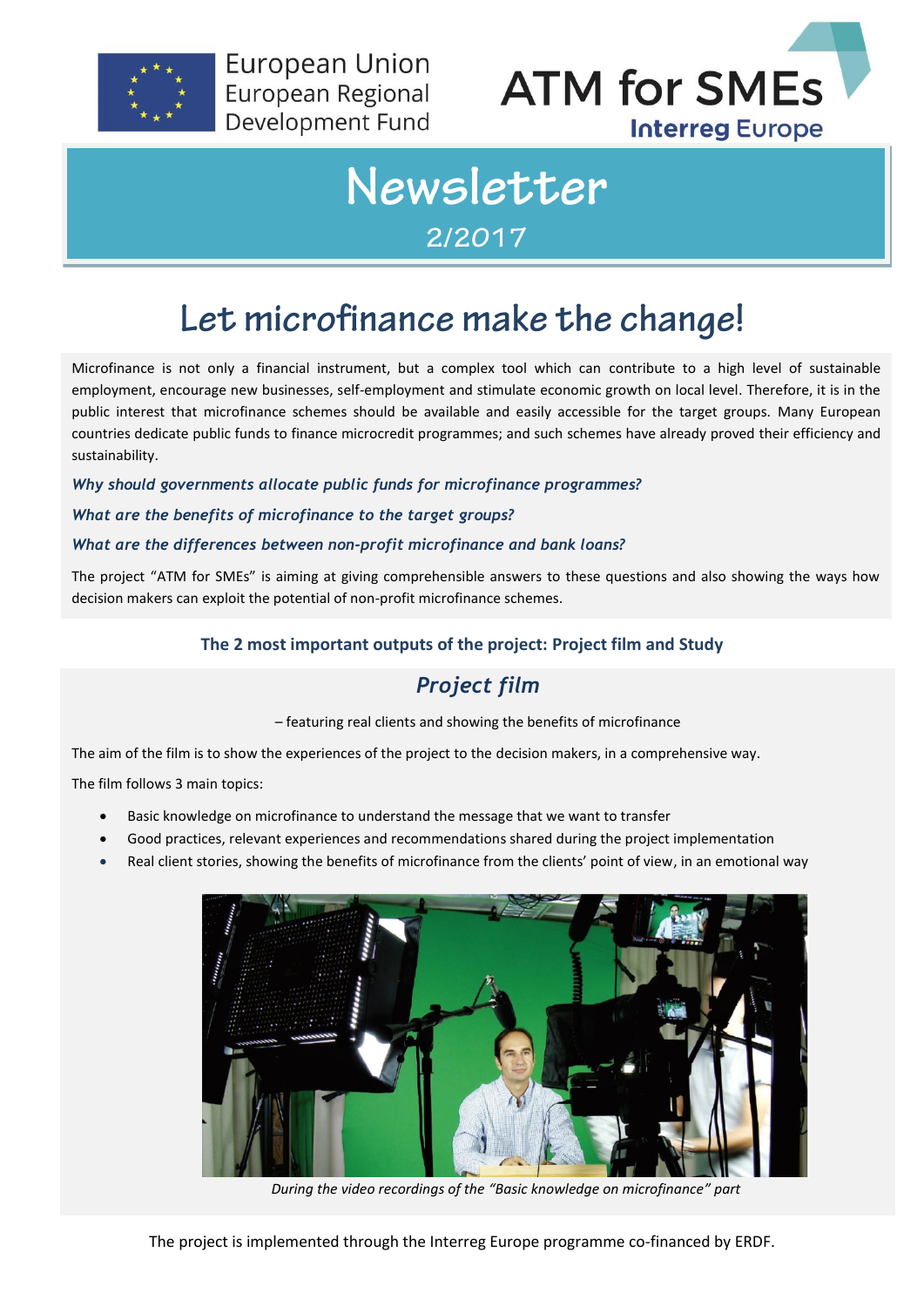

**European Union** European Regional Development Fund



# Newsletter 2/2017

## Let microfinance make the change!

Microfinance is not only a financial instrument, but a complex tool which can contribute to a high level of sustainable employment, encourage new businesses, self-employment and stimulate economic growth on local level. Therefore, it is in the public interest that microfinance schemes should be available and easily accessible for the target groups. Many European countries dedicate public funds to finance microcredit programmes; and such schemes have already proved their efficiency and sustainability.

*Why should governments allocate public funds for microfinance programmes?*

#### *What are the benefits of microfinance to the target groups?*

#### *What are the differences between non-profit microfinance and bank loans?*

The project "ATM for SMEs" is aiming at giving comprehensible answers to these questions and also showing the ways how decision makers can exploit the potential of non-profit microfinance schemes.

#### **The 2 most important outputs of the project: Project film and Study**

### *Project film*

– featuring real clients and showing the benefits of microfinance

The aim of the film is to show the experiences of the project to the decision makers, in a comprehensive way.

The film follows 3 main topics:

- Basic knowledge on microfinance to understand the message that we want to transfer
- Good practices, relevant experiences and recommendations shared during the project implementation
- Real client stories, showing the benefits of microfinance from the clients' point of view, in an emotional way



*During the video recordings of the "Basic knowledge on microfinance" part*

The project is implemented through the Interreg Europe programme co-financed by ERDF.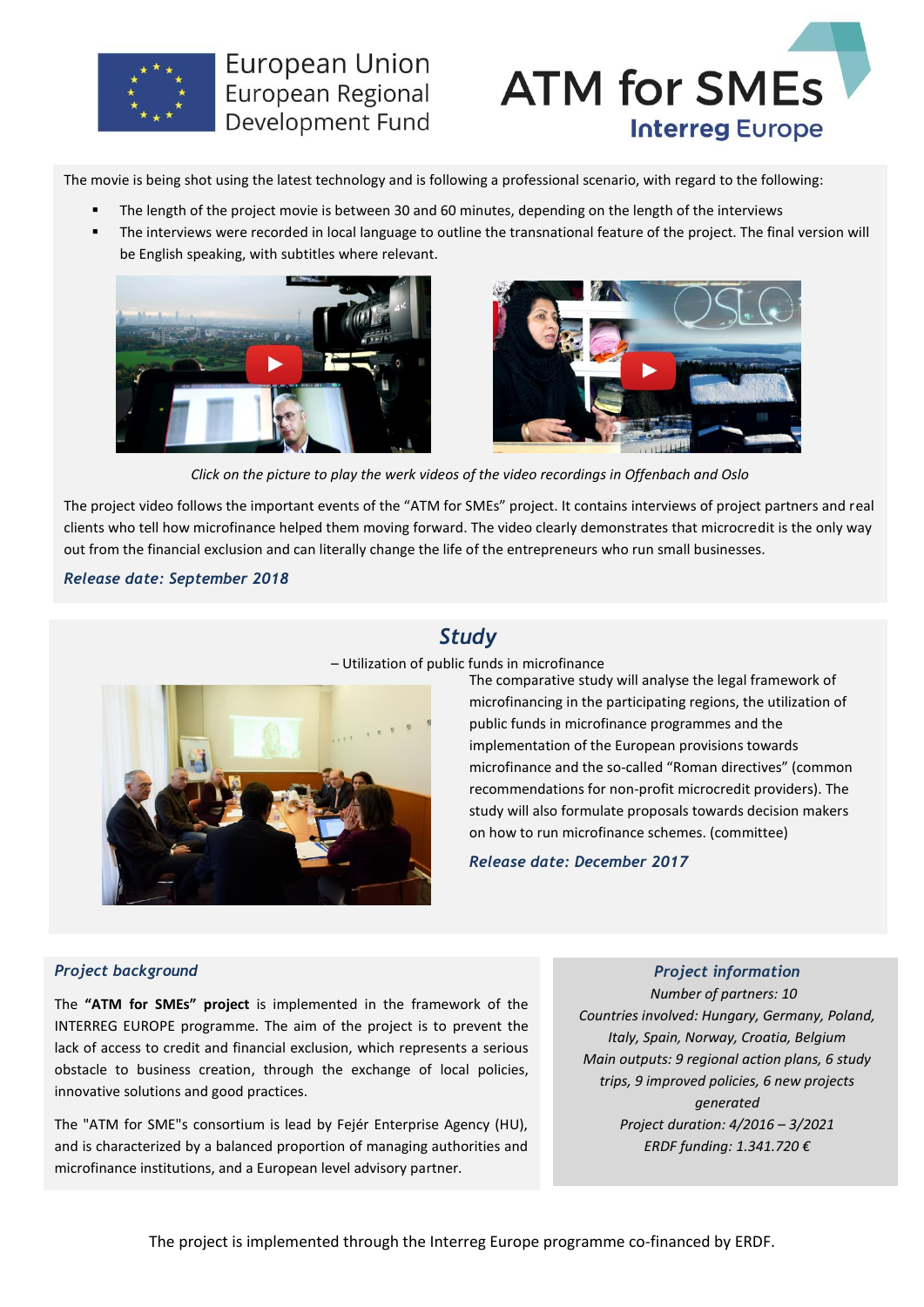

### **European Union** European Regional Development Fund



The movie is being shot using the latest technology and is following a professional scenario, with regard to the following:

- The length of the project movie is between 30 and 60 minutes, depending on the length of the interviews
- The interviews were recorded in local language to outline the transnational feature of the project. The final version will be English speaking, with subtitles where relevant.





*Click on the picture to play the werk videos of the video recordings in Offenbach and Oslo*

The project video follows the important events of the "ATM for SMEs" project. It contains interviews of project partners and real clients who tell how microfinance helped them moving forward. The video clearly demonstrates that microcredit is the only way out from the financial exclusion and can literally change the life of the entrepreneurs who run small businesses.

#### *Release date: September 2018*

### *Study*

– Utilization of public funds in microfinance



The comparative study will analyse the legal framework of microfinancing in the participating regions, the utilization of public funds in microfinance programmes and the implementation of the European provisions towards microfinance and the so-called "Roman directives" (common recommendations for non-profit microcredit providers). The study will also formulate proposals towards decision makers on how to run microfinance schemes. (committee)

*Release date: December 2017*

#### *Project background*

The **"ATM for SMEs" project** is implemented in the framework of the INTERREG EUROPE programme. The aim of the project is to prevent the lack of access to credit and financial exclusion, which represents a serious obstacle to business creation, through the exchange of local policies, innovative solutions and good practices.

The "ATM for SME"s consortium is lead by Fejér Enterprise Agency (HU), and is characterized by a balanced proportion of managing authorities and microfinance institutions, and a European level advisory partner.

*Project information*

*Number of partners: 10 Countries involved: Hungary, Germany, Poland, Italy, Spain, Norway, Croatia, Belgium Main outputs: 9 regional action plans, 6 study trips, 9 improved policies, 6 new projects generated Project duration: 4/2016 – 3/2021 ERDF funding: 1.341.720 €*